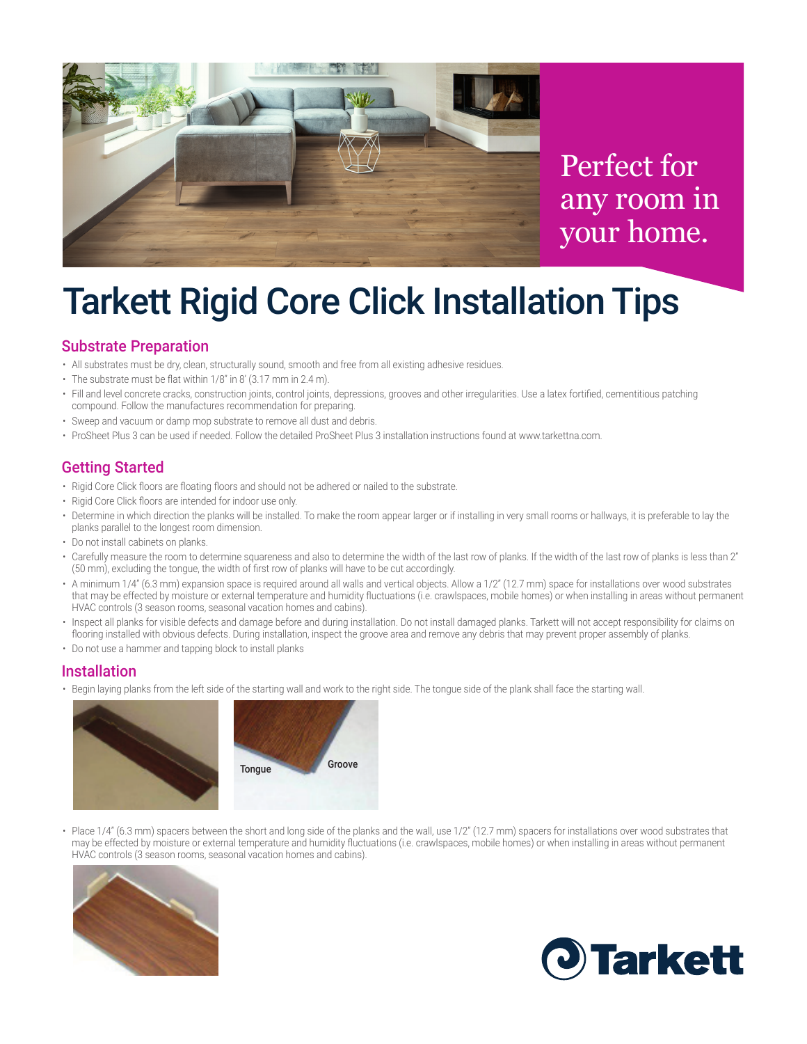

Perfect for any room in your home.

# Tarkett Rigid Core Click Installation Tips

### Substrate Preparation

- All substrates must be dry, clean, structurally sound, smooth and free from all existing adhesive residues.
- $\cdot$  The substrate must be flat within 1/8" in 8' (3.17 mm in 2.4 m).
- • Fill and level concrete cracks, construction joints, control joints, depressions, grooves and other irregularities. Use a latex fortified, cementitious patching compound. Follow the manufactures recommendation for preparing.
- Sweep and vacuum or damp mop substrate to remove all dust and debris.
- • ProSheet Plus 3 can be used if needed. Follow the detailed ProSheet Plus 3 installation instructions found at www.tarkettna.com.

### Getting Started

- Rigid Core Click floors are floating floors and should not be adhered or nailed to the substrate.
- Rigid Core Click floors are intended for indoor use only.
- Determine in which direction the planks will be installed. To make the room appear larger or if installing in very small rooms or hallways, it is preferable to lay the planks parallel to the longest room dimension.
- Do not install cabinets on planks.
- • Carefully measure the room to determine squareness and also to determine the width of the last row of planks. If the width of the last row of planks is less than 2" (50 mm), excluding the tongue, the width of first row of planks will have to be cut accordingly.
- $\cdot$  A minimum 1/4" (6.3 mm) expansion space is required around all walls and vertical objects. Allow a 1/2" (12.7 mm) space for installations over wood substrates that may be effected by moisture or external temperature and humidity fluctuations (i.e. crawlspaces, mobile homes) or when installing in areas without permanent HVAC controls (3 season rooms, seasonal vacation homes and cabins).
- • Inspect all planks for visible defects and damage before and during installation. Do not install damaged planks. Tarkett will not accept responsibility for claims on flooring installed with obvious defects. During installation, inspect the groove area and remove any debris that may prevent proper assembly of planks.
- Do not use a hammer and tapping block to install planks

#### Installation

• Begin laying planks from the left side of the starting wall and work to the right side. The tongue side of the plank shall face the starting wall.



• Place  $1/4$ " (6.3 mm) spacers between the short and long side of the planks and the wall, use  $1/2$ " (12.7 mm) spacers for installations over wood substrates that may be effected by moisture or external temperature and humidity fluctuations (i.e. crawlspaces, mobile homes) or when installing in areas without permanent HVAC controls (3 season rooms, seasonal vacation homes and cabins).



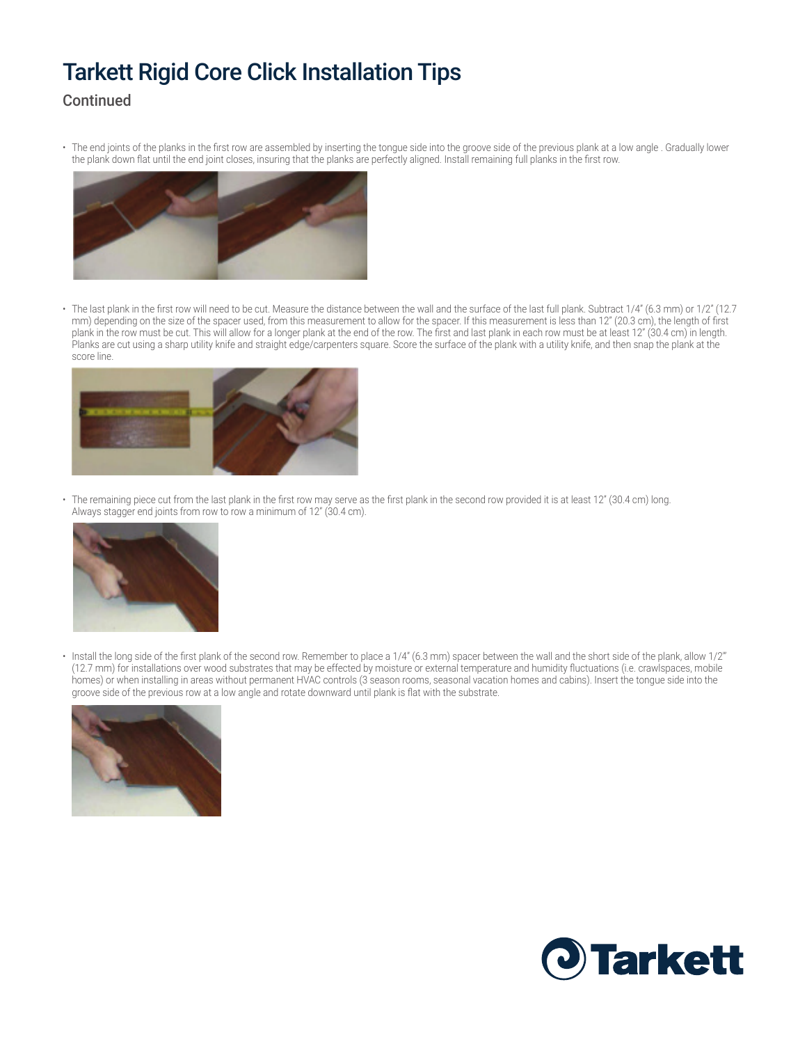# Tarkett Rigid Core Click Installation Tips

### **Continued**

• The end joints of the planks in the first row are assembled by inserting the tongue side into the groove side of the previous plank at a low angle . Gradually lower the plank down flat until the end joint closes, insuring that the planks are perfectly aligned. Install remaining full planks in the first row.



• The last plank in the first row will need to be cut. Measure the distance between the wall and the surface of the last full plank. Subtract 1/4" (6.3 mm) or 1/2" (12.7 mm) depending on the size of the spacer used, from this measurement to allow for the spacer. If this measurement is less than 12" (20.3 cm), the length of first plank in the row must be cut. This will allow for a longer plank at the end of the row. The first and last plank in each row must be at least 12" (30.4 cm) in length. Planks are cut using a sharp utility knife and straight edge/carpenters square. Score the surface of the plank with a utility knife, and then snap the plank at the score line.



• The remaining piece cut from the last plank in the first row may serve as the first plank in the second row provided it is at least 12" (30.4 cm) long. Always stagger end joints from row to row a minimum of 12" (30.4 cm).



 $\cdot$  Install the long side of the first plank of the second row. Remember to place a 1/4" (6.3 mm) spacer between the wall and the short side of the plank, allow 1/2" (12.7 mm) for installations over wood substrates that may be effected by moisture or external temperature and humidity fluctuations (i.e. crawlspaces, mobile homes) or when installing in areas without permanent HVAC controls (3 season rooms, seasonal vacation homes and cabins). Insert the tongue side into the groove side of the previous row at a low angle and rotate downward until plank is flat with the substrate.